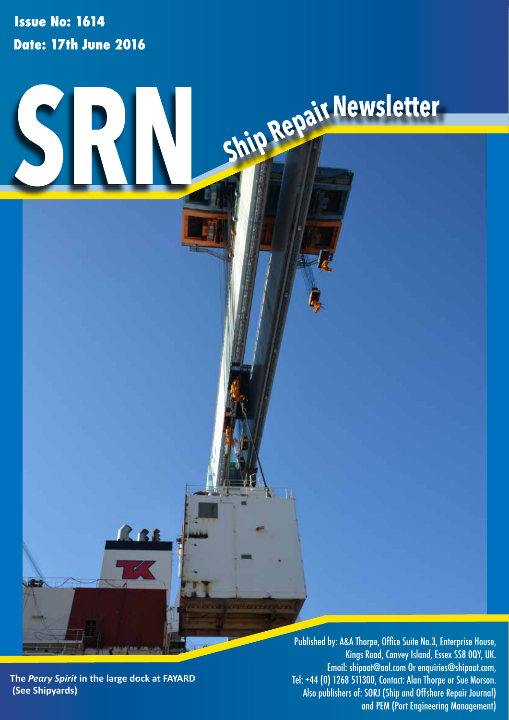**Issue No: 1614 Date: 17th June 2016**



**The** *Peary Spirit* **in the large dock at FAYARD (See Shipyards)**

Kings Road, Canvey Island, Essex SS8 0QY, UK. Email: shipaat@aol.com Or enquiries@shipaat.com, Tel: +44 (0) 1268 511300, Contact: Alan Thorpe or Sue Morson. Also publishers of: SORJ (Ship and Offshore Repair Journal) and PEM (Port Engineering Management)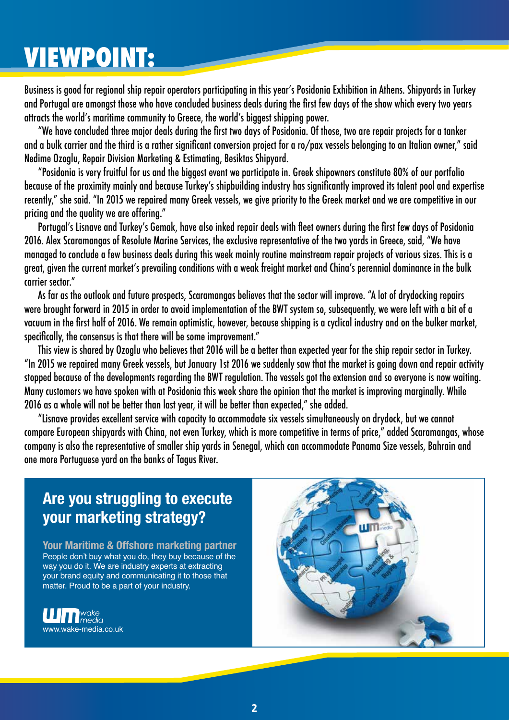## **VIEWPOINT:**

Business is good for regional ship repair operators participating in this year's Posidonia Exhibition in Athens. Shipyards in Turkey and Portugal are amongst those who have concluded business deals during the first few days of the show which every two years attracts the world's maritime community to Greece, the world's biggest shipping power.

"We have concluded three major deals during the first two days of Posidonia. Of those, two are repair projects for a tanker and a bulk carrier and the third is a rather significant conversion project for a ro/pax vessels belonging to an Italian owner," said Nedime Ozoglu, Repair Division Marketing & Estimating, Besiktas Shipyard.

"Posidonia is very fruitful for us and the biggest event we participate in. Greek shipowners constitute 80% of our portfolio because of the proximity mainly and because Turkey's shipbuilding industry has significantly improved its talent pool and expertise recently," she said. "In 2015 we repaired many Greek vessels, we give priority to the Greek market and we are competitive in our pricing and the quality we are offering."

Portugal's Lisnave and Turkey's Gemak, have also inked repair deals with fleet owners during the first few days of Posidonia 2016. Alex Scaramangas of Resolute Marine Services, the exclusive representative of the two yards in Greece, said, "We have managed to conclude a few business deals during this week mainly routine mainstream repair projects of various sizes. This is a great, given the current market's prevailing conditions with a weak freight market and China's perennial dominance in the bulk carrier sector."

As far as the outlook and future prospects, Scaramangas believes that the sector will improve. "A lot of drydocking repairs were brought forward in 2015 in order to avoid implementation of the BWT system so, subsequently, we were left with a bit of a vacuum in the first half of 2016. We remain optimistic, however, because shipping is a cyclical industry and on the bulker market, specifically, the consensus is that there will be some improvement."

This view is shared by Ozoglu who believes that 2016 will be a better than expected year for the ship repair sector in Turkey. "In 2015 we repaired many Greek vessels, but January 1st 2016 we suddenly saw that the market is going down and repair activity stopped because of the developments regarding the BWT regulation. The vessels got the extension and so everyone is now waiting. Many customers we have spoken with at Posidonia this week share the opinion that the market is improving marginally. While 2016 as a whole will not be better than last year, it will be better than expected," she added.

"Lisnave provides excellent service with capacity to accommodate six vessels simultaneously on drydock, but we cannot compare European shipyards with China, not even Turkey, which is more competitive in terms of price," added Scaramangas, whose company is also the representative of smaller ship yards in Senegal, which can accommodate Panama Size vessels, Bahrain and one more Portuguese yard on the banks of Tagus River.

## **Are you struggling to execute your marketing strategy?**

**Your Maritime & Offshore marketing partner** People don't buy what you do, they buy because of the way you do it. We are industry experts at extracting your brand equity and communicating it to those that matter. Proud to be a part of your industry.



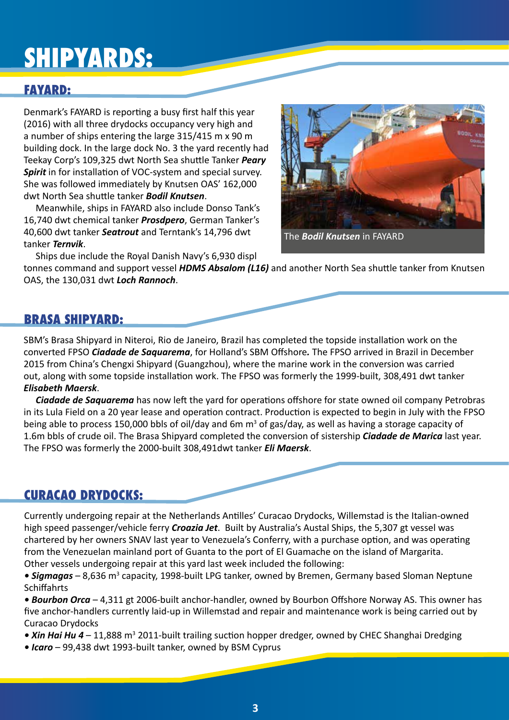## **SHIPYARDS:**

## **FAYARD:**

Denmark's FAYARD is reporting a busy first half this year (2016) with all three drydocks occupancy very high and a number of ships entering the large 315/415 m x 90 m building dock. In the large dock No. 3 the yard recently had Teekay Corp's 109,325 dwt North Sea shuttle Tanker *Peary Spirit* in for installation of VOC-system and special survey. She was followed immediately by Knutsen OAS' 162,000 dwt North Sea shuttle tanker *Bodil Knutsen*.

Meanwhile, ships in FAYARD also include Donso Tank's 16,740 dwt chemical tanker *Prosdpero*, German Tanker's 40,600 dwt tanker *Seatrout* and Terntank's 14,796 dwt tanker *Ternvik*.

Ships due include the Royal Danish Navy's 6,930 displ

tonnes command and support vessel *HDMS Absalom (L16)* and another North Sea shuttle tanker from Knutsen OAS, the 130,031 dwt *Loch Rannoch*.

### **BRASA SHIPYARD:**

SBM's Brasa Shipyard in Niteroi, Rio de Janeiro, Brazil has completed the topside installation work on the converted FPSO *Ciadade de Saquarema*, for Holland's SBM Offshore*.* The FPSO arrived in Brazil in December 2015 from China's Chengxi Shipyard (Guangzhou), where the marine work in the conversion was carried out, along with some topside installation work. The FPSO was formerly the 1999-built, 308,491 dwt tanker *Elisabeth Maersk*.

*Ciadade de Saquarema* has now left the yard for operations offshore for state owned oil company Petrobras in its Lula Field on a 20 year lease and operation contract. Production is expected to begin in July with the FPSO being able to process 150,000 bbls of oil/day and 6m m<sup>3</sup> of gas/day, as well as having a storage capacity of 1.6m bbls of crude oil. The Brasa Shipyard completed the conversion of sistership *Ciadade de Marica* last year. The FPSO was formerly the 2000-built 308,491dwt tanker *Eli Maersk*.

### **CURACAO DRYDOCKS:**

Currently undergoing repair at the Netherlands Antilles' Curacao Drydocks, Willemstad is the Italian-owned high speed passenger/vehicle ferry *Croazia Jet*. Built by Australia's Austal Ships, the 5,307 gt vessel was chartered by her owners SNAV last year to Venezuela's Conferry, with a purchase option, and was operating from the Venezuelan mainland port of Guanta to the port of El Guamache on the island of Margarita. Other vessels undergoing repair at this yard last week included the following:

• Sigmagas – 8,636 m<sup>3</sup> capacity, 1998-built LPG tanker, owned by Bremen, Germany based Sloman Neptune Schiffahrts

*• Bourbon Orca* – 4,311 gt 2006-built anchor-handler, owned by Bourbon Offshore Norway AS. This owner has five anchor-handlers currently laid-up in Willemstad and repair and maintenance work is being carried out by Curacao Drydocks

- Xin Hai Hu 4 11,888 m<sup>3</sup> 2011-built trailing suction hopper dredger, owned by CHEC Shanghai Dredging
- *Icaro* 99,438 dwt 1993-built tanker, owned by BSM Cyprus

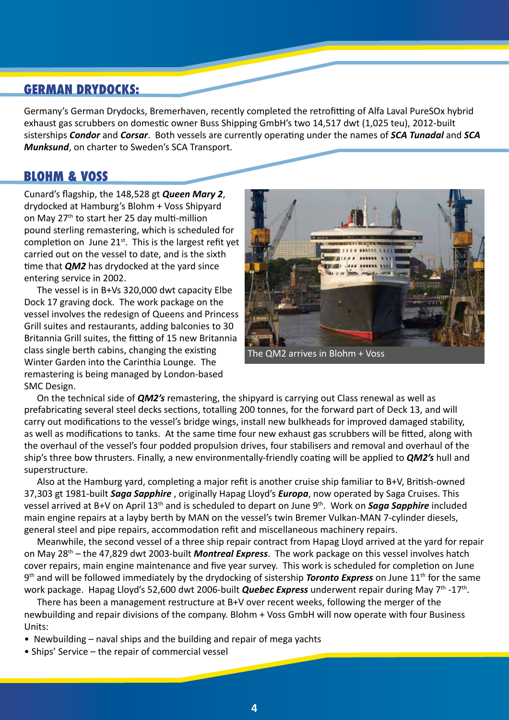### **GERMAN DRYDOCKS:**

Germany's German Drydocks, Bremerhaven, recently completed the retrofitting of Alfa Laval PureSOx hybrid exhaust gas scrubbers on domestic owner Buss Shipping GmbH's two 14,517 dwt (1,025 teu), 2012-built sisterships *Condor* and *Corsar*. Both vessels are currently operating under the names of *SCA Tunadal* and *SCA Munksund*, on charter to Sweden's SCA Transport.

#### **BLOHM & VOSS**

Cunard's flagship, the 148,528 gt *Queen Mary 2*, drydocked at Hamburg's Blohm + Voss Shipyard on May 27<sup>th</sup> to start her 25 day multi-million pound sterling remastering, which is scheduled for completion on June  $21<sup>st</sup>$ . This is the largest refit yet carried out on the vessel to date, and is the sixth time that *QM2* has drydocked at the yard since entering service in 2002.

The vessel is in B+Vs 320,000 dwt capacity Elbe Dock 17 graving dock. The work package on the vessel involves the redesign of Queens and Princess Grill suites and restaurants, adding balconies to 30 Britannia Grill suites, the fitting of 15 new Britannia class single berth cabins, changing the existing Winter Garden into the Carinthia Lounge. The remastering is being managed by London-based SMC Design.



The QM2 arrives in Blohm + Voss

On the technical side of *QM2's* remastering, the shipyard is carrying out Class renewal as well as prefabricating several steel decks sections, totalling 200 tonnes, for the forward part of Deck 13, and will carry out modifications to the vessel's bridge wings, install new bulkheads for improved damaged stability, as well as modifications to tanks. At the same time four new exhaust gas scrubbers will be fitted, along with the overhaul of the vessel's four podded propulsion drives, four stabilisers and removal and overhaul of the ship's three bow thrusters. Finally, a new environmentally-friendly coating will be applied to *QM2's* hull and superstructure.

Also at the Hamburg yard, completing a major refit is another cruise ship familiar to B+V, British-owned 37,303 gt 1981-built *Saga Sapphire* , originally Hapag Lloyd's *Europa*, now operated by Saga Cruises. This vessel arrived at B+V on April 13th and is scheduled to depart on June 9th. Work on *Saga Sapphire* included main engine repairs at a layby berth by MAN on the vessel's twin Bremer Vulkan-MAN 7-cylinder diesels, general steel and pipe repairs, accommodation refit and miscellaneous machinery repairs.

Meanwhile, the second vessel of a three ship repair contract from Hapag Lloyd arrived at the yard for repair on May 28th – the 47,829 dwt 2003-built *Montreal Express*. The work package on this vessel involves hatch cover repairs, main engine maintenance and five year survey. This work is scheduled for completion on June 9<sup>th</sup> and will be followed immediately by the drydocking of sistership **Toronto Express** on June 11<sup>th</sup> for the same work package. Hapag Lloyd's 52,600 dwt 2006-built **Quebec Express** underwent repair during May 7<sup>th</sup> -17<sup>th</sup>.

There has been a management restructure at B+V over recent weeks, following the merger of the newbuilding and repair divisions of the company. Blohm + Voss GmbH will now operate with four Business Units:

• Newbuilding – naval ships and the building and repair of mega yachts

• Ships' Service – the repair of commercial vessel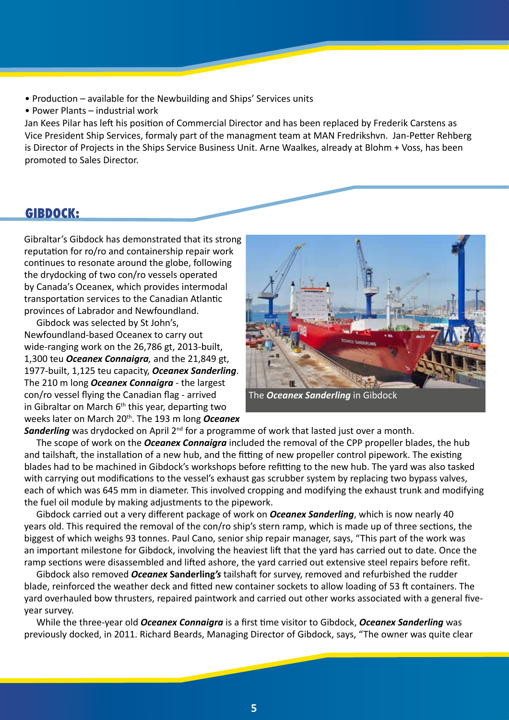- Production available for the Newbuilding and Ships' Services units
- Power Plants industrial work

Jan Kees Pilar has left his position of Commercial Director and has been replaced by Frederik Carstens as Vice President Ship Services, formaly part of the managment team at MAN Fredrikshvn. Jan-Petter Rehberg is Director of Projects in the Ships Service Business Unit. Arne Waalkes, already at Blohm + Voss, has been promoted to Sales Director.

#### **GIBDOCK:**

Gibraltar's Gibdock has demonstrated that its strong reputation for ro/ro and containership repair work continues to resonate around the globe, following the drydocking of two con/ro vessels operated by Canada's Oceanex, which provides intermodal transportation services to the Canadian Atlantic provinces of Labrador and Newfoundland.

Gibdock was selected by St John's, Newfoundland-based Oceanex to carry out wide-ranging work on the 26,786 gt, 2013-built, 1,300 teu *Oceanex Connaigra,* and the 21,849 gt, 1977-built, 1,125 teu capacity, *Oceanex Sanderling*. The 210 m long *Oceanex Connaigra -* the largest con/ro vessel flying the Canadian flag - arrived in Gibraltar on March  $6<sup>th</sup>$  this year, departing two weeks later on March 20th. The 193 m long *Oceanex* 



The *Oceanex Sanderling* in Gibdock

**Sanderling** was drydocked on April 2<sup>nd</sup> for a programme of work that lasted just over a month.

The scope of work on the *Oceanex Connaigra* included the removal of the CPP propeller blades, the hub and tailshaft, the installation of a new hub, and the fitting of new propeller control pipework. The existing blades had to be machined in Gibdock's workshops before refitting to the new hub. The yard was also tasked with carrying out modifications to the vessel's exhaust gas scrubber system by replacing two bypass valves, each of which was 645 mm in diameter. This involved cropping and modifying the exhaust trunk and modifying the fuel oil module by making adjustments to the pipework.

Gibdock carried out a very different package of work on *Oceanex Sanderling*, which is now nearly 40 years old. This required the removal of the con/ro ship's stern ramp, which is made up of three sections, the biggest of which weighs 93 tonnes. Paul Cano, senior ship repair manager, says, "This part of the work was an important milestone for Gibdock, involving the heaviest lift that the yard has carried out to date. Once the ramp sections were disassembled and lifted ashore, the yard carried out extensive steel repairs before refit.

Gibdock also removed *Oceanex* **Sanderling***'s* tailshaft for survey, removed and refurbished the rudder blade, reinforced the weather deck and fitted new container sockets to allow loading of 53 ft containers. The yard overhauled bow thrusters, repaired paintwork and carried out other works associated with a general fiveyear survey.

While the three-year old *Oceanex Connaigra* is a first time visitor to Gibdock, *Oceanex Sanderling* was previously docked, in 2011. Richard Beards, Managing Director of Gibdock, says, "The owner was quite clear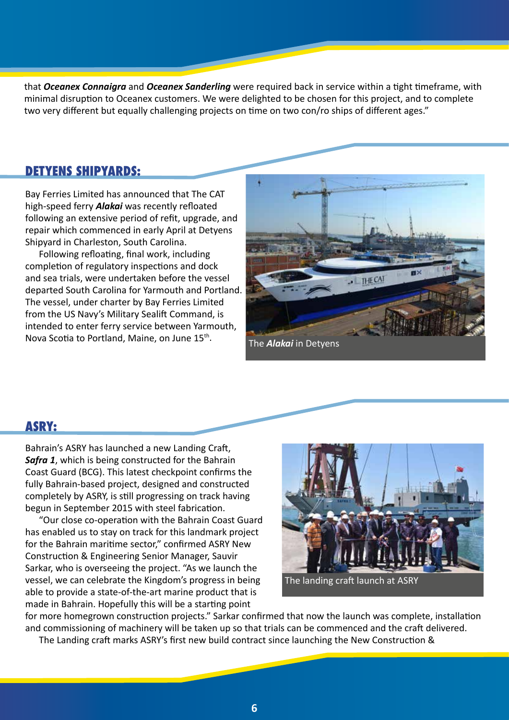that *Oceanex Connaigra* and *Oceanex Sanderling* were required back in service within a tight timeframe, with minimal disruption to Oceanex customers. We were delighted to be chosen for this project, and to complete two very different but equally challenging projects on time on two con/ro ships of different ages."

### **DETYENS SHIPYARDS:**

Bay Ferries Limited has announced that The CAT high-speed ferry *Alakai* was recently refloated following an extensive period of refit, upgrade, and repair which commenced in early April at Detyens Shipyard in Charleston, South Carolina.

Following refloating, final work, including completion of regulatory inspections and dock and sea trials, were undertaken before the vessel departed South Carolina for Yarmouth and Portland. The vessel, under charter by Bay Ferries Limited from the US Navy's Military Sealift Command, is intended to enter ferry service between Yarmouth, Nova Scotia to Portland, Maine, on June 15<sup>th</sup>. The **Alakai** in Detyens



#### **ASRY:**

Bahrain's ASRY has launched a new Landing Craft, *Safra 1*, which is being constructed for the Bahrain Coast Guard (BCG). This latest checkpoint confirms the fully Bahrain-based project, designed and constructed completely by ASRY, is still progressing on track having begun in September 2015 with steel fabrication.

"Our close co-operation with the Bahrain Coast Guard has enabled us to stay on track for this landmark project for the Bahrain maritime sector," confirmed ASRY New Construction & Engineering Senior Manager, Sauvir Sarkar, who is overseeing the project. "As we launch the vessel, we can celebrate the Kingdom's progress in being able to provide a state-of-the-art marine product that is made in Bahrain. Hopefully this will be a starting point



The landing craft launch at ASRY

for more homegrown construction projects." Sarkar confirmed that now the launch was complete, installation and commissioning of machinery will be taken up so that trials can be commenced and the craft delivered. The Landing craft marks ASRY's first new build contract since launching the New Construction &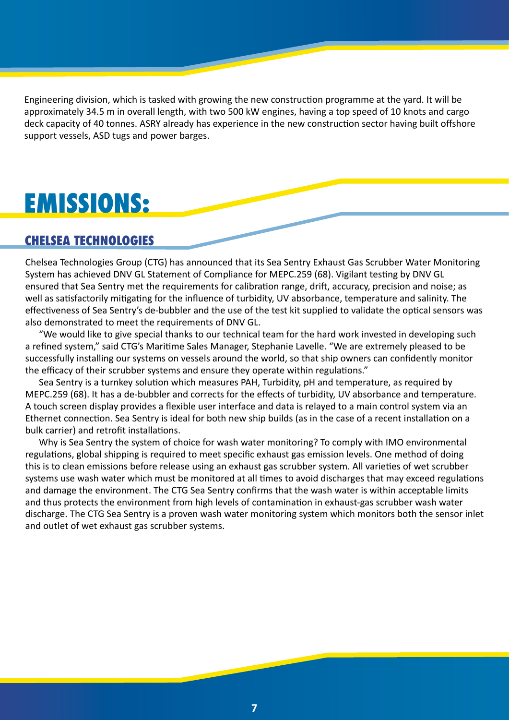Engineering division, which is tasked with growing the new construction programme at the yard. It will be approximately 34.5 m in overall length, with two 500 kW engines, having a top speed of 10 knots and cargo deck capacity of 40 tonnes. ASRY already has experience in the new construction sector having built offshore support vessels, ASD tugs and power barges.

## **EMISSIONS:**

### **CHELSEA TECHNOLOGIES**

Chelsea Technologies Group (CTG) has announced that its Sea Sentry Exhaust Gas Scrubber Water Monitoring System has achieved DNV GL Statement of Compliance for MEPC.259 (68). Vigilant testing by DNV GL ensured that Sea Sentry met the requirements for calibration range, drift, accuracy, precision and noise; as well as satisfactorily mitigating for the influence of turbidity, UV absorbance, temperature and salinity. The effectiveness of Sea Sentry's de-bubbler and the use of the test kit supplied to validate the optical sensors was also demonstrated to meet the requirements of DNV GL.

"We would like to give special thanks to our technical team for the hard work invested in developing such a refined system," said CTG's Maritime Sales Manager, Stephanie Lavelle. "We are extremely pleased to be successfully installing our systems on vessels around the world, so that ship owners can confidently monitor the efficacy of their scrubber systems and ensure they operate within regulations."

Sea Sentry is a turnkey solution which measures PAH, Turbidity, pH and temperature, as required by MEPC.259 (68). It has a de-bubbler and corrects for the effects of turbidity, UV absorbance and temperature. A touch screen display provides a flexible user interface and data is relayed to a main control system via an Ethernet connection. Sea Sentry is ideal for both new ship builds (as in the case of a recent installation on a bulk carrier) and retrofit installations.

Why is Sea Sentry the system of choice for wash water monitoring? To comply with IMO environmental regulations, global shipping is required to meet specific exhaust gas emission levels. One method of doing this is to clean emissions before release using an exhaust gas scrubber system. All varieties of wet scrubber systems use wash water which must be monitored at all times to avoid discharges that may exceed regulations and damage the environment. The CTG Sea Sentry confirms that the wash water is within acceptable limits and thus protects the environment from high levels of contamination in exhaust-gas scrubber wash water discharge. The CTG Sea Sentry is a proven wash water monitoring system which monitors both the sensor inlet and outlet of wet exhaust gas scrubber systems.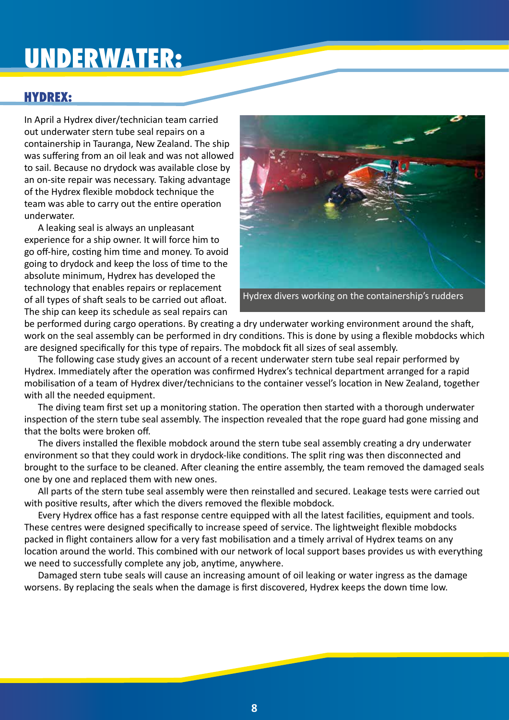## **UNDERWATER:**

### **HYDREX:**

In April a Hydrex diver/technician team carried out underwater stern tube seal repairs on a containership in Tauranga, New Zealand. The ship was suffering from an oil leak and was not allowed to sail. Because no drydock was available close by an on-site repair was necessary. Taking advantage of the Hydrex flexible mobdock technique the team was able to carry out the entire operation underwater.

A leaking seal is always an unpleasant experience for a ship owner. It will force him to go off-hire, costing him time and money. To avoid going to drydock and keep the loss of time to the absolute minimum, Hydrex has developed the technology that enables repairs or replacement of all types of shaft seals to be carried out afloat. The ship can keep its schedule as seal repairs can



Hydrex divers working on the containership's rudders

be performed during cargo operations. By creating a dry underwater working environment around the shaft, work on the seal assembly can be performed in dry conditions. This is done by using a flexible mobdocks which are designed specifically for this type of repairs. The mobdock fit all sizes of seal assembly.

The following case study gives an account of a recent underwater stern tube seal repair performed by Hydrex. Immediately after the operation was confirmed Hydrex's technical department arranged for a rapid mobilisation of a team of Hydrex diver/technicians to the container vessel's location in New Zealand, together with all the needed equipment.

The diving team first set up a monitoring station. The operation then started with a thorough underwater inspection of the stern tube seal assembly. The inspection revealed that the rope guard had gone missing and that the bolts were broken off.

The divers installed the flexible mobdock around the stern tube seal assembly creating a dry underwater environment so that they could work in drydock-like conditions. The split ring was then disconnected and brought to the surface to be cleaned. After cleaning the entire assembly, the team removed the damaged seals one by one and replaced them with new ones.

All parts of the stern tube seal assembly were then reinstalled and secured. Leakage tests were carried out with positive results, after which the divers removed the flexible mobdock.

Every Hydrex office has a fast response centre equipped with all the latest facilities, equipment and tools. These centres were designed specifically to increase speed of service. The lightweight flexible mobdocks packed in flight containers allow for a very fast mobilisation and a timely arrival of Hydrex teams on any location around the world. This combined with our network of local support bases provides us with everything we need to successfully complete any job, anytime, anywhere.

Damaged stern tube seals will cause an increasing amount of oil leaking or water ingress as the damage worsens. By replacing the seals when the damage is first discovered, Hydrex keeps the down time low.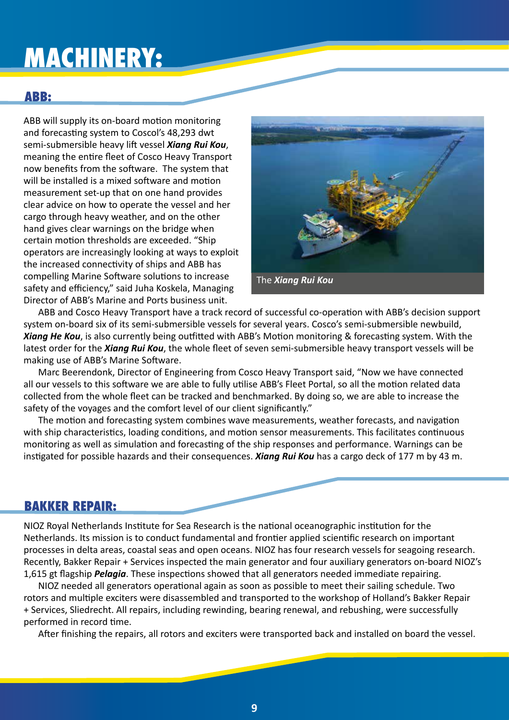## **MACHINERY:**

### **ABB:**

ABB will supply its on-board motion monitoring and forecasting system to Coscol's 48,293 dwt semi-submersible heavy lift vessel *Xiang Rui Kou*, meaning the entire fleet of Cosco Heavy Transport now benefits from the software. The system that will be installed is a mixed software and motion measurement set-up that on one hand provides clear advice on how to operate the vessel and her cargo through heavy weather, and on the other hand gives clear warnings on the bridge when certain motion thresholds are exceeded. "Ship operators are increasingly looking at ways to exploit the increased connectivity of ships and ABB has compelling Marine Software solutions to increase safety and efficiency," said Juha Koskela, Managing Director of ABB's Marine and Ports business unit.



ABB and Cosco Heavy Transport have a track record of successful co-operation with ABB's decision support system on-board six of its semi-submersible vessels for several years. Cosco's semi-submersible newbuild, *Xiang He Kou*, is also currently being outfitted with ABB's Motion monitoring & forecasting system. With the latest order for the *Xiang Rui Kou*, the whole fleet of seven semi-submersible heavy transport vessels will be making use of ABB's Marine Software.

Marc Beerendonk, Director of Engineering from Cosco Heavy Transport said, "Now we have connected all our vessels to this software we are able to fully utilise ABB's Fleet Portal, so all the motion related data collected from the whole fleet can be tracked and benchmarked. By doing so, we are able to increase the safety of the voyages and the comfort level of our client significantly."

The motion and forecasting system combines wave measurements, weather forecasts, and navigation with ship characteristics, loading conditions, and motion sensor measurements. This facilitates continuous monitoring as well as simulation and forecasting of the ship responses and performance. Warnings can be instigated for possible hazards and their consequences. *Xiang Rui Kou* has a cargo deck of 177 m by 43 m.

#### **BAKKER REPAIR:**

NIOZ Royal Netherlands Institute for Sea Research is the national oceanographic institution for the Netherlands. Its mission is to conduct fundamental and frontier applied scientific research on important processes in delta areas, coastal seas and open oceans. NIOZ has four research vessels for seagoing research. Recently, Bakker Repair + Services inspected the main generator and four auxiliary generators on-board NIOZ's 1,615 gt flagship *Pelagia*. These inspections showed that all generators needed immediate repairing.

NIOZ needed all generators operational again as soon as possible to meet their sailing schedule. Two rotors and multiple exciters were disassembled and transported to the workshop of Holland's Bakker Repair + Services, Sliedrecht. All repairs, including rewinding, bearing renewal, and rebushing, were successfully performed in record time.

After finishing the repairs, all rotors and exciters were transported back and installed on board the vessel.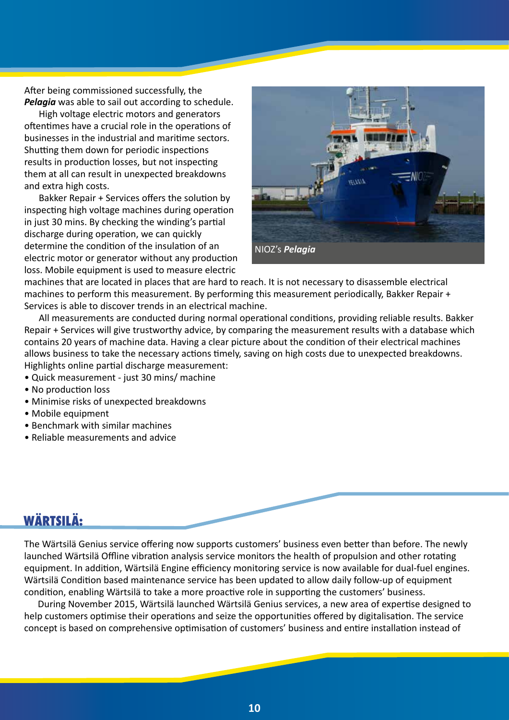After being commissioned successfully, the *Pelagia* was able to sail out according to schedule.

High voltage electric motors and generators oftentimes have a crucial role in the operations of businesses in the industrial and maritime sectors. Shutting them down for periodic inspections results in production losses, but not inspecting them at all can result in unexpected breakdowns and extra high costs.

Bakker Repair + Services offers the solution by inspecting high voltage machines during operation in just 30 mins. By checking the winding's partial discharge during operation, we can quickly determine the condition of the insulation of an electric motor or generator without any production loss. Mobile equipment is used to measure electric



machines that are located in places that are hard to reach. It is not necessary to disassemble electrical machines to perform this measurement. By performing this measurement periodically, Bakker Repair + Services is able to discover trends in an electrical machine.

All measurements are conducted during normal operational conditions, providing reliable results. Bakker Repair + Services will give trustworthy advice, by comparing the measurement results with a database which contains 20 years of machine data. Having a clear picture about the condition of their electrical machines allows business to take the necessary actions timely, saving on high costs due to unexpected breakdowns. Highlights online partial discharge measurement:

- Quick measurement just 30 mins/ machine
- No production loss
- Minimise risks of unexpected breakdowns
- Mobile equipment
- Benchmark with similar machines
- Reliable measurements and advice

## **WÄRTSILÄ:**

The Wärtsilä Genius service offering now supports customers' business even better than before. The newly launched Wärtsilä Offline vibration analysis service monitors the health of propulsion and other rotating equipment. In addition, Wärtsilä Engine efficiency monitoring service is now available for dual-fuel engines. Wärtsilä Condition based maintenance service has been updated to allow daily follow-up of equipment condition, enabling Wärtsilä to take a more proactive role in supporting the customers' business.

During November 2015, Wärtsilä launched Wärtsilä Genius services, a new area of expertise designed to help customers optimise their operations and seize the opportunities offered by digitalisation. The service concept is based on comprehensive optimisation of customers' business and entire installation instead of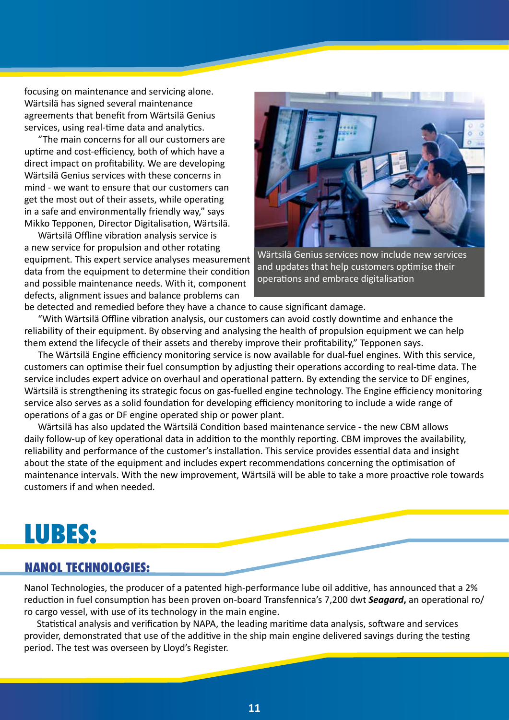focusing on maintenance and servicing alone. Wärtsilä has signed several maintenance agreements that benefit from Wärtsilä Genius services, using real-time data and analytics.

"The main concerns for all our customers are uptime and cost-efficiency, both of which have a direct impact on profitability. We are developing Wärtsilä Genius services with these concerns in mind - we want to ensure that our customers can get the most out of their assets, while operating in a safe and environmentally friendly way," says Mikko Tepponen, Director Digitalisation, Wärtsilä.

Wärtsilä Offline vibration analysis service is a new service for propulsion and other rotating equipment. This expert service analyses measurement data from the equipment to determine their condition and possible maintenance needs. With it, component defects, alignment issues and balance problems can



Wärtsilä Genius services now include new services and updates that help customers optimise their operations and embrace digitalisation

be detected and remedied before they have a chance to cause significant damage.

"With Wärtsilä Offline vibration analysis, our customers can avoid costly downtime and enhance the reliability of their equipment. By observing and analysing the health of propulsion equipment we can help them extend the lifecycle of their assets and thereby improve their profitability," Tepponen says.

The Wärtsilä Engine efficiency monitoring service is now available for dual-fuel engines. With this service, customers can optimise their fuel consumption by adjusting their operations according to real-time data. The service includes expert advice on overhaul and operational pattern. By extending the service to DF engines, Wärtsilä is strengthening its strategic focus on gas-fuelled engine technology. The Engine efficiency monitoring service also serves as a solid foundation for developing efficiency monitoring to include a wide range of operations of a gas or DF engine operated ship or power plant.

Wärtsilä has also updated the Wärtsilä Condition based maintenance service - the new CBM allows daily follow-up of key operational data in addition to the monthly reporting. CBM improves the availability, reliability and performance of the customer's installation. This service provides essential data and insight about the state of the equipment and includes expert recommendations concerning the optimisation of maintenance intervals. With the new improvement, Wärtsilä will be able to take a more proactive role towards customers if and when needed.

## **LUBES:**

### **NANOL TECHNOLOGIES:**

Nanol Technologies, the producer of a patented high-performance lube oil additive, has announced that a 2% reduction in fuel consumption has been proven on-board Transfennica's 7,200 dwt *Seagard***,** an operational ro/ ro cargo vessel, with use of its technology in the main engine.

Statistical analysis and verification by NAPA, the leading maritime data analysis, software and services provider, demonstrated that use of the additive in the ship main engine delivered savings during the testing period. The test was overseen by Lloyd's Register.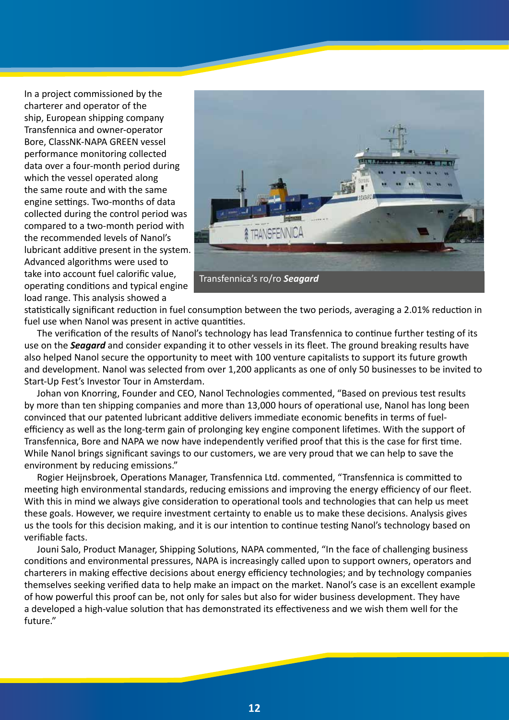In a project commissioned by the charterer and operator of the ship, European shipping company Transfennica and owner-operator Bore, ClassNK-NAPA GREEN vessel performance monitoring collected data over a four-month period during which the vessel operated along the same route and with the same engine settings. Two-months of data collected during the control period was compared to a two-month period with the recommended levels of Nanol's lubricant additive present in the system. Advanced algorithms were used to take into account fuel calorific value, operating conditions and typical engine load range. This analysis showed a



statistically significant reduction in fuel consumption between the two periods, averaging a 2.01% reduction in fuel use when Nanol was present in active quantities.

The verification of the results of Nanol's technology has lead Transfennica to continue further testing of its use on the *Seagard* and consider expanding it to other vessels in its fleet. The ground breaking results have also helped Nanol secure the opportunity to meet with 100 venture capitalists to support its future growth and development. Nanol was selected from over 1,200 applicants as one of only 50 businesses to be invited to Start-Up Fest's Investor Tour in Amsterdam.

Johan von Knorring, Founder and CEO, Nanol Technologies commented, "Based on previous test results by more than ten shipping companies and more than 13,000 hours of operational use, Nanol has long been convinced that our patented lubricant additive delivers immediate economic benefits in terms of fuelefficiency as well as the long-term gain of prolonging key engine component lifetimes. With the support of Transfennica, Bore and NAPA we now have independently verified proof that this is the case for first time. While Nanol brings significant savings to our customers, we are very proud that we can help to save the environment by reducing emissions."

Rogier Heijnsbroek, Operations Manager, Transfennica Ltd. commented, "Transfennica is committed to meeting high environmental standards, reducing emissions and improving the energy efficiency of our fleet. With this in mind we always give consideration to operational tools and technologies that can help us meet these goals. However, we require investment certainty to enable us to make these decisions. Analysis gives us the tools for this decision making, and it is our intention to continue testing Nanol's technology based on verifiable facts.

Jouni Salo, Product Manager, Shipping Solutions, NAPA commented, "In the face of challenging business conditions and environmental pressures, NAPA is increasingly called upon to support owners, operators and charterers in making effective decisions about energy efficiency technologies; and by technology companies themselves seeking verified data to help make an impact on the market. Nanol's case is an excellent example of how powerful this proof can be, not only for sales but also for wider business development. They have a developed a high-value solution that has demonstrated its effectiveness and we wish them well for the future."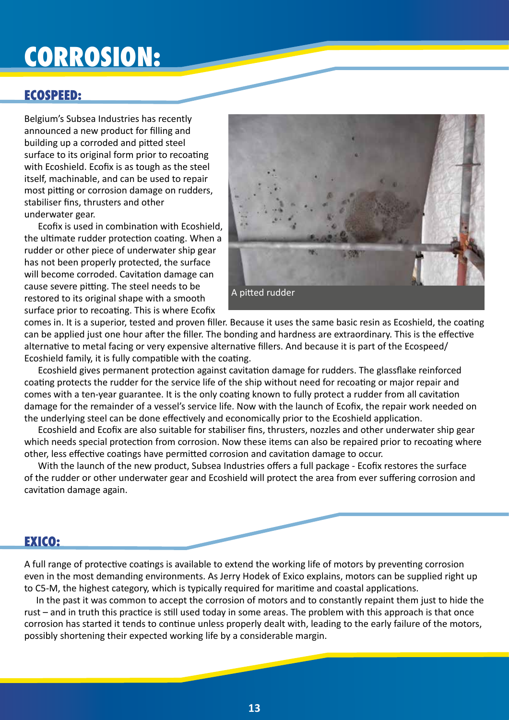## **CORROSION:**

### **ECOSPEED:**

Belgium's Subsea Industries has recently announced a new product for filling and building up a corroded and pitted steel surface to its original form prior to recoating with Ecoshield. Ecofix is as tough as the steel itself, machinable, and can be used to repair most pitting or corrosion damage on rudders, stabiliser fins, thrusters and other underwater gear.

Ecofix is used in combination with Ecoshield, the ultimate rudder protection coating. When a rudder or other piece of underwater ship gear has not been properly protected, the surface will become corroded. Cavitation damage can cause severe pitting. The steel needs to be restored to its original shape with a smooth surface prior to recoating. This is where Ecofix



comes in. It is a superior, tested and proven filler. Because it uses the same basic resin as Ecoshield, the coating can be applied just one hour after the filler. The bonding and hardness are extraordinary. This is the effective alternative to metal facing or very expensive alternative fillers. And because it is part of the Ecospeed/ Ecoshield family, it is fully compatible with the coating.

Ecoshield gives permanent protection against cavitation damage for rudders. The glassflake reinforced coating protects the rudder for the service life of the ship without need for recoating or major repair and comes with a ten-year guarantee. It is the only coating known to fully protect a rudder from all cavitation damage for the remainder of a vessel's service life. Now with the launch of Ecofix, the repair work needed on the underlying steel can be done effectively and economically prior to the Ecoshield application.

Ecoshield and Ecofix are also suitable for stabiliser fins, thrusters, nozzles and other underwater ship gear which needs special protection from corrosion. Now these items can also be repaired prior to recoating where other, less effective coatings have permitted corrosion and cavitation damage to occur.

With the launch of the new product, Subsea Industries offers a full package - Ecofix restores the surface of the rudder or other underwater gear and Ecoshield will protect the area from ever suffering corrosion and cavitation damage again.

### **EXICO:**

A full range of protective coatings is available to extend the working life of motors by preventing corrosion even in the most demanding environments. As Jerry Hodek of Exico explains, motors can be supplied right up to C5-M, the highest category, which is typically required for maritime and coastal applications.

In the past it was common to accept the corrosion of motors and to constantly repaint them just to hide the rust – and in truth this practice is still used today in some areas. The problem with this approach is that once corrosion has started it tends to continue unless properly dealt with, leading to the early failure of the motors, possibly shortening their expected working life by a considerable margin.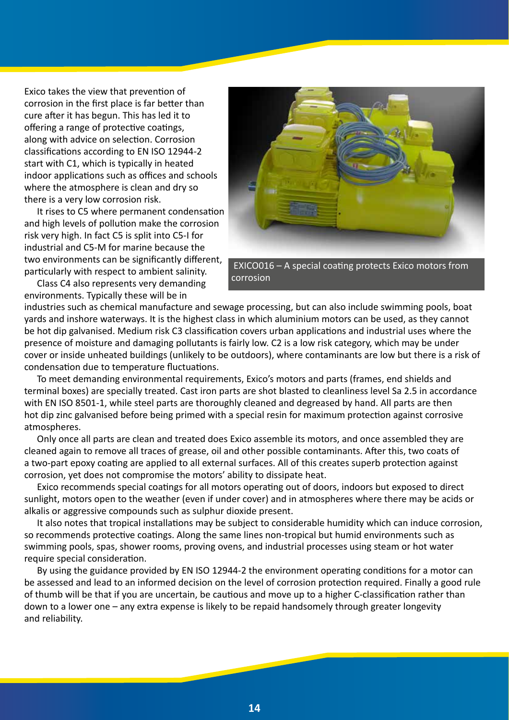Exico takes the view that prevention of corrosion in the first place is far better than cure after it has begun. This has led it to offering a range of protective coatings, along with advice on selection. Corrosion classifications according to EN ISO 12944-2 start with C1, which is typically in heated indoor applications such as offices and schools where the atmosphere is clean and dry so there is a very low corrosion risk.

It rises to C5 where permanent condensation and high levels of pollution make the corrosion risk very high. In fact C5 is split into C5-I for industrial and C5-M for marine because the two environments can be significantly different, particularly with respect to ambient salinity.

Class C4 also represents very demanding environments. Typically these will be in



 EXICO016 – A special coating protects Exico motors from corrosion

industries such as chemical manufacture and sewage processing, but can also include swimming pools, boat yards and inshore waterways. It is the highest class in which aluminium motors can be used, as they cannot be hot dip galvanised. Medium risk C3 classification covers urban applications and industrial uses where the presence of moisture and damaging pollutants is fairly low. C2 is a low risk category, which may be under cover or inside unheated buildings (unlikely to be outdoors), where contaminants are low but there is a risk of condensation due to temperature fluctuations.

To meet demanding environmental requirements, Exico's motors and parts (frames, end shields and terminal boxes) are specially treated. Cast iron parts are shot blasted to cleanliness level Sa 2.5 in accordance with EN ISO 8501-1, while steel parts are thoroughly cleaned and degreased by hand. All parts are then hot dip zinc galvanised before being primed with a special resin for maximum protection against corrosive atmospheres.

Only once all parts are clean and treated does Exico assemble its motors, and once assembled they are cleaned again to remove all traces of grease, oil and other possible contaminants. After this, two coats of a two-part epoxy coating are applied to all external surfaces. All of this creates superb protection against corrosion, yet does not compromise the motors' ability to dissipate heat.

Exico recommends special coatings for all motors operating out of doors, indoors but exposed to direct sunlight, motors open to the weather (even if under cover) and in atmospheres where there may be acids or alkalis or aggressive compounds such as sulphur dioxide present.

It also notes that tropical installations may be subject to considerable humidity which can induce corrosion, so recommends protective coatings. Along the same lines non-tropical but humid environments such as swimming pools, spas, shower rooms, proving ovens, and industrial processes using steam or hot water require special consideration.

By using the guidance provided by EN ISO 12944-2 the environment operating conditions for a motor can be assessed and lead to an informed decision on the level of corrosion protection required. Finally a good rule of thumb will be that if you are uncertain, be cautious and move up to a higher C-classification rather than down to a lower one – any extra expense is likely to be repaid handsomely through greater longevity and reliability.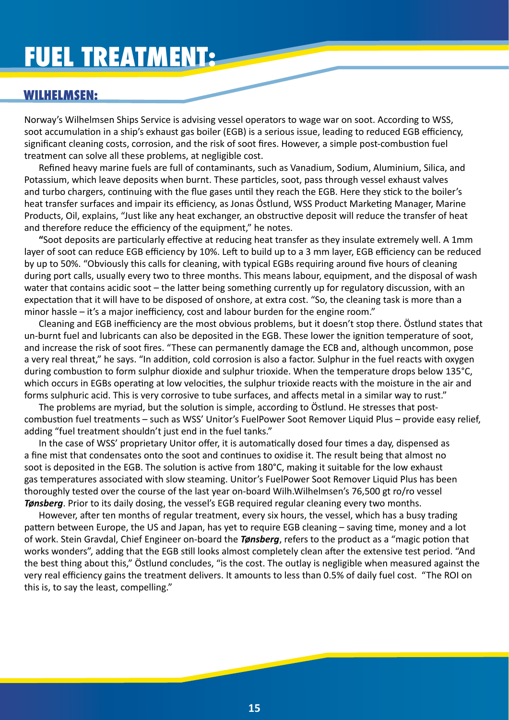## **FUEL TREATMENT:**

#### **WILHELMSEN:**

Norway's Wilhelmsen Ships Service is advising vessel operators to wage war on soot. According to WSS, soot accumulation in a ship's exhaust gas boiler (EGB) is a serious issue, leading to reduced EGB efficiency, significant cleaning costs, corrosion, and the risk of soot fires. However, a simple post-combustion fuel treatment can solve all these problems, at negligible cost.

Refined heavy marine fuels are full of contaminants, such as Vanadium, Sodium, Aluminium, Silica, and Potassium, which leave deposits when burnt. These particles, soot, pass through vessel exhaust valves and turbo chargers, continuing with the flue gases until they reach the EGB. Here they stick to the boiler's heat transfer surfaces and impair its efficiency, as Jonas Östlund, WSS Product Marketing Manager, Marine Products, Oil, explains, "Just like any heat exchanger, an obstructive deposit will reduce the transfer of heat and therefore reduce the efficiency of the equipment," he notes.

**"**Soot deposits are particularly effective at reducing heat transfer as they insulate extremely well. A 1mm layer of soot can reduce EGB efficiency by 10%. Left to build up to a 3 mm layer, EGB efficiency can be reduced by up to 50%. "Obviously this calls for cleaning, with typical EGBs requiring around five hours of cleaning during port calls, usually every two to three months. This means labour, equipment, and the disposal of wash water that contains acidic soot – the latter being something currently up for regulatory discussion, with an expectation that it will have to be disposed of onshore, at extra cost. "So, the cleaning task is more than a minor hassle – it's a major inefficiency, cost and labour burden for the engine room."

Cleaning and EGB inefficiency are the most obvious problems, but it doesn't stop there. Östlund states that un-burnt fuel and lubricants can also be deposited in the EGB. These lower the ignition temperature of soot, and increase the risk of soot fires. "These can permanently damage the ECB and, although uncommon, pose a very real threat," he says. "In addition, cold corrosion is also a factor. Sulphur in the fuel reacts with oxygen during combustion to form sulphur dioxide and sulphur trioxide. When the temperature drops below 135°C, which occurs in EGBs operating at low velocities, the sulphur trioxide reacts with the moisture in the air and forms sulphuric acid. This is very corrosive to tube surfaces, and affects metal in a similar way to rust."

The problems are myriad, but the solution is simple, according to Östlund. He stresses that postcombustion fuel treatments – such as WSS' Unitor's FuelPower Soot Remover Liquid Plus – provide easy relief, adding "fuel treatment shouldn't just end in the fuel tanks."

In the case of WSS' proprietary Unitor offer, it is automatically dosed four times a day, dispensed as a fine mist that condensates onto the soot and continues to oxidise it. The result being that almost no soot is deposited in the EGB. The solution is active from 180°C, making it suitable for the low exhaust gas temperatures associated with slow steaming. Unitor's FuelPower Soot Remover Liquid Plus has been thoroughly tested over the course of the last year on-board Wilh.Wilhelmsen's 76,500 gt ro/ro vessel *Tønsberg*. Prior to its daily dosing, the vessel's EGB required regular cleaning every two months.

However, after ten months of regular treatment, every six hours, the vessel, which has a busy trading pattern between Europe, the US and Japan, has yet to require EGB cleaning – saving time, money and a lot of work. Stein Gravdal, Chief Engineer on-board the *Tønsberg*, refers to the product as a "magic potion that works wonders", adding that the EGB still looks almost completely clean after the extensive test period. "And the best thing about this," Östlund concludes, "is the cost. The outlay is negligible when measured against the very real efficiency gains the treatment delivers. It amounts to less than 0.5% of daily fuel cost. "The ROI on this is, to say the least, compelling."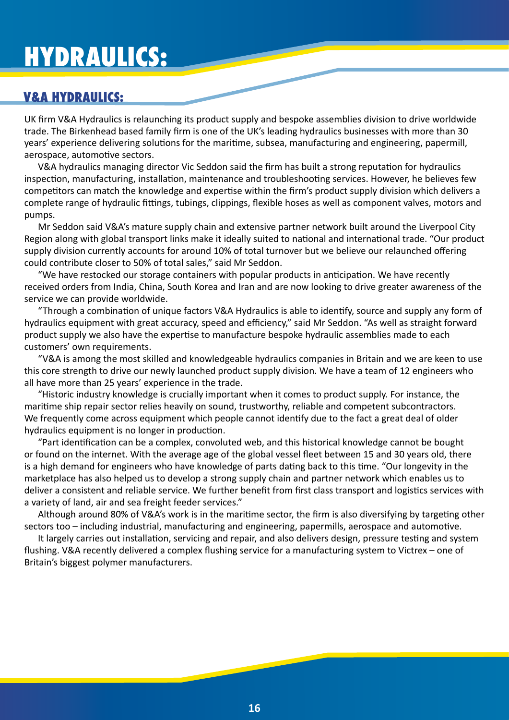## **HYDRAULICS:**

### **V&A HYDRAULICS:**

UK firm V&A Hydraulics is relaunching its product supply and bespoke assemblies division to drive worldwide trade. The Birkenhead based family firm is one of the UK's leading hydraulics businesses with more than 30 years' experience delivering solutions for the maritime, subsea, manufacturing and engineering, papermill, aerospace, automotive sectors.

V&A hydraulics managing director Vic Seddon said the firm has built a strong reputation for hydraulics inspection, manufacturing, installation, maintenance and troubleshooting services. However, he believes few competitors can match the knowledge and expertise within the firm's product supply division which delivers a complete range of hydraulic fittings, tubings, clippings, flexible hoses as well as component valves, motors and pumps.

Mr Seddon said V&A's mature supply chain and extensive partner network built around the Liverpool City Region along with global transport links make it ideally suited to national and international trade. "Our product supply division currently accounts for around 10% of total turnover but we believe our relaunched offering could contribute closer to 50% of total sales," said Mr Seddon.

"We have restocked our storage containers with popular products in anticipation. We have recently received orders from India, China, South Korea and Iran and are now looking to drive greater awareness of the service we can provide worldwide.

"Through a combination of unique factors V&A Hydraulics is able to identify, source and supply any form of hydraulics equipment with great accuracy, speed and efficiency," said Mr Seddon. "As well as straight forward product supply we also have the expertise to manufacture bespoke hydraulic assemblies made to each customers' own requirements.

"V&A is among the most skilled and knowledgeable hydraulics companies in Britain and we are keen to use this core strength to drive our newly launched product supply division. We have a team of 12 engineers who all have more than 25 years' experience in the trade.

"Historic industry knowledge is crucially important when it comes to product supply. For instance, the maritime ship repair sector relies heavily on sound, trustworthy, reliable and competent subcontractors. We frequently come across equipment which people cannot identify due to the fact a great deal of older hydraulics equipment is no longer in production.

"Part identification can be a complex, convoluted web, and this historical knowledge cannot be bought or found on the internet. With the average age of the global vessel fleet between 15 and 30 years old, there is a high demand for engineers who have knowledge of parts dating back to this time. "Our longevity in the marketplace has also helped us to develop a strong supply chain and partner network which enables us to deliver a consistent and reliable service. We further benefit from first class transport and logistics services with a variety of land, air and sea freight feeder services."

Although around 80% of V&A's work is in the maritime sector, the firm is also diversifying by targeting other sectors too – including industrial, manufacturing and engineering, papermills, aerospace and automotive.

It largely carries out installation, servicing and repair, and also delivers design, pressure testing and system flushing. V&A recently delivered a complex flushing service for a manufacturing system to Victrex – one of Britain's biggest polymer manufacturers.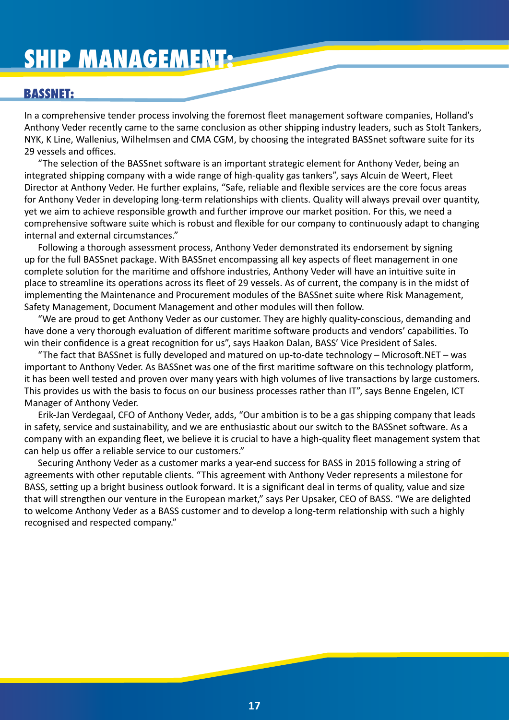## **SHIP MANAGEMENT:**

#### **BASSNET:**

In a comprehensive tender process involving the foremost fleet management software companies, Holland's Anthony Veder recently came to the same conclusion as other shipping industry leaders, such as Stolt Tankers, NYK, K Line, Wallenius, Wilhelmsen and CMA CGM, by choosing the integrated BASSnet software suite for its 29 vessels and offices.

"The selection of the BASSnet software is an important strategic element for Anthony Veder, being an integrated shipping company with a wide range of high-quality gas tankers", says Alcuin de Weert, Fleet Director at Anthony Veder. He further explains, "Safe, reliable and flexible services are the core focus areas for Anthony Veder in developing long-term relationships with clients. Quality will always prevail over quantity, yet we aim to achieve responsible growth and further improve our market position. For this, we need a comprehensive software suite which is robust and flexible for our company to continuously adapt to changing internal and external circumstances."

Following a thorough assessment process, Anthony Veder demonstrated its endorsement by signing up for the full BASSnet package. With BASSnet encompassing all key aspects of fleet management in one complete solution for the maritime and offshore industries, Anthony Veder will have an intuitive suite in place to streamline its operations across its fleet of 29 vessels. As of current, the company is in the midst of implementing the Maintenance and Procurement modules of the BASSnet suite where Risk Management, Safety Management, Document Management and other modules will then follow.

"We are proud to get Anthony Veder as our customer. They are highly quality-conscious, demanding and have done a very thorough evaluation of different maritime software products and vendors' capabilities. To win their confidence is a great recognition for us", says Haakon Dalan, BASS' Vice President of Sales.

"The fact that BASSnet is fully developed and matured on up-to-date technology – Microsoft.NET – was important to Anthony Veder. As BASSnet was one of the first maritime software on this technology platform, it has been well tested and proven over many years with high volumes of live transactions by large customers. This provides us with the basis to focus on our business processes rather than IT", says Benne Engelen, ICT Manager of Anthony Veder.

Erik-Jan Verdegaal, CFO of Anthony Veder, adds, "Our ambition is to be a gas shipping company that leads in safety, service and sustainability, and we are enthusiastic about our switch to the BASSnet software. As a company with an expanding fleet, we believe it is crucial to have a high-quality fleet management system that can help us offer a reliable service to our customers."

Securing Anthony Veder as a customer marks a year-end success for BASS in 2015 following a string of agreements with other reputable clients. "This agreement with Anthony Veder represents a milestone for BASS, setting up a bright business outlook forward. It is a significant deal in terms of quality, value and size that will strengthen our venture in the European market," says Per Upsaker, CEO of BASS. "We are delighted to welcome Anthony Veder as a BASS customer and to develop a long-term relationship with such a highly recognised and respected company."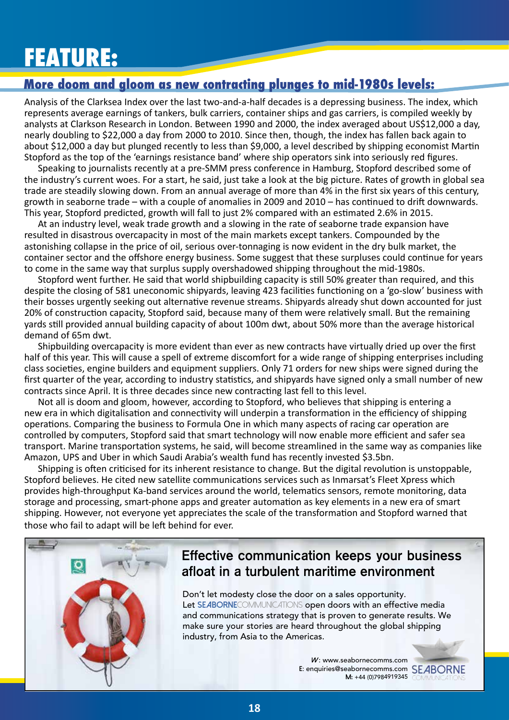## **FEATURE:**

### **More doom and gloom as new contracting plunges to mid-1980s levels:**

Analysis of the Clarksea Index over the last two-and-a-half decades is a depressing business. The index, which represents average earnings of tankers, bulk carriers, container ships and gas carriers, is compiled weekly by analysts at Clarkson Research in London. Between 1990 and 2000, the index averaged about US\$12,000 a day, nearly doubling to \$22,000 a day from 2000 to 2010. Since then, though, the index has fallen back again to about \$12,000 a day but plunged recently to less than \$9,000, a level described by shipping economist Martin Stopford as the top of the 'earnings resistance band' where ship operators sink into seriously red figures.

Speaking to journalists recently at a pre-SMM press conference in Hamburg, Stopford described some of the industry's current woes. For a start, he said, just take a look at the big picture. Rates of growth in global sea trade are steadily slowing down. From an annual average of more than 4% in the first six years of this century, growth in seaborne trade – with a couple of anomalies in 2009 and 2010 – has continued to drift downwards. This year, Stopford predicted, growth will fall to just 2% compared with an estimated 2.6% in 2015.

At an industry level, weak trade growth and a slowing in the rate of seaborne trade expansion have resulted in disastrous overcapacity in most of the main markets except tankers. Compounded by the astonishing collapse in the price of oil, serious over-tonnaging is now evident in the dry bulk market, the container sector and the offshore energy business. Some suggest that these surpluses could continue for years to come in the same way that surplus supply overshadowed shipping throughout the mid-1980s.

Stopford went further. He said that world shipbuilding capacity is still 50% greater than required, and this despite the closing of 581 uneconomic shipyards, leaving 423 facilities functioning on a 'go-slow' business with their bosses urgently seeking out alternative revenue streams. Shipyards already shut down accounted for just 20% of construction capacity, Stopford said, because many of them were relatively small. But the remaining yards still provided annual building capacity of about 100m dwt, about 50% more than the average historical demand of 65m dwt.

Shipbuilding overcapacity is more evident than ever as new contracts have virtually dried up over the first half of this year. This will cause a spell of extreme discomfort for a wide range of shipping enterprises including class societies, engine builders and equipment suppliers. Only 71 orders for new ships were signed during the first quarter of the year, according to industry statistics, and shipyards have signed only a small number of new contracts since April. It is three decades since new contracting last fell to this level.

Not all is doom and gloom, however, according to Stopford, who believes that shipping is entering a new era in which digitalisation and connectivity will underpin a transformation in the efficiency of shipping operations. Comparing the business to Formula One in which many aspects of racing car operation are controlled by computers, Stopford said that smart technology will now enable more efficient and safer sea transport. Marine transportation systems, he said, will become streamlined in the same way as companies like Amazon, UPS and Uber in which Saudi Arabia's wealth fund has recently invested \$3.5bn.

Shipping is often criticised for its inherent resistance to change. But the digital revolution is unstoppable, Stopford believes. He cited new satellite communications services such as Inmarsat's Fleet Xpress which provides high-throughput Ka-band services around the world, telematics sensors, remote monitoring, data storage and processing, smart-phone apps and greater automation as key elements in a new era of smart shipping. However, not everyone yet appreciates the scale of the transformation and Stopford warned that those who fail to adapt will be left behind for ever.



## **Effective communication keeps your business afloat in a turbulent maritime environment**

Don't let modesty close the door on a sales opportunity. Let **SEABORNE**COMMUNICATIONS open doors with an effective media and communications strategy that is proven to generate results. We make sure your stories are heard throughout the global shipping industry, from Asia to the Americas.

> **W**: www.seabornecomms.com E: enquiries@seabornecomms.com **SEABORNE M:** +44 (0)7984919345